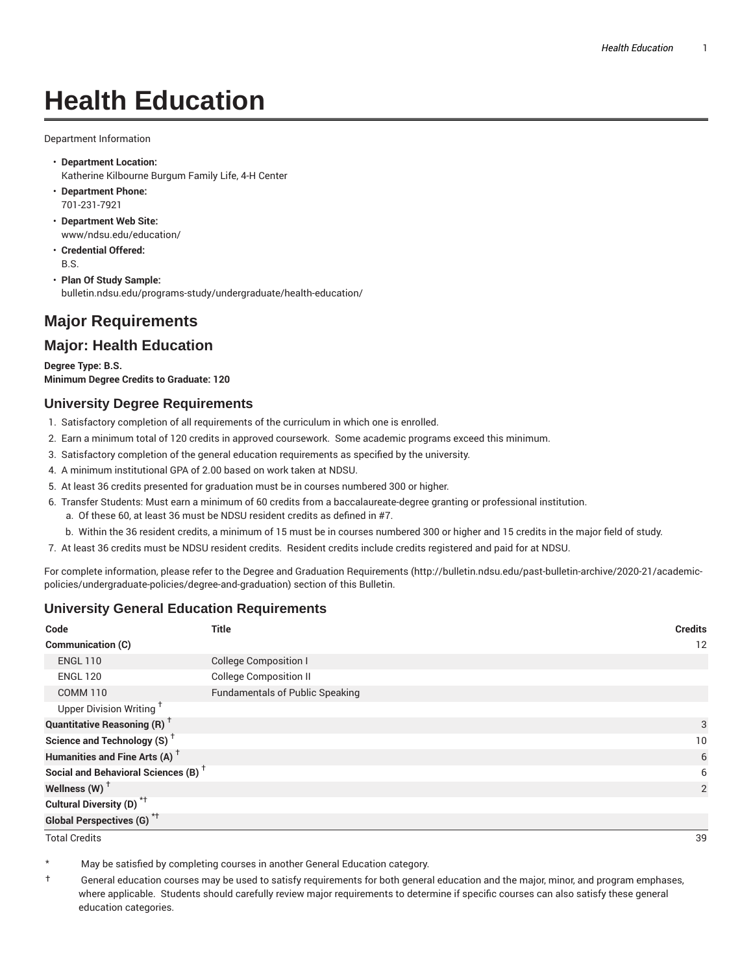# **Health Education**

Department Information

- **Department Location:** Katherine Kilbourne Burgum Family Life, 4-H Center
- **Department Phone:** 701-231-7921
- **Department Web Site:** www/ndsu.edu/education/
- **Credential Offered:** B.S.
- **Plan Of Study Sample:** bulletin.ndsu.edu/programs-study/undergraduate/health-education/

# **Major Requirements**

## **Major: Health Education**

**Degree Type: B.S. Minimum Degree Credits to Graduate: 120**

#### **University Degree Requirements**

- 1. Satisfactory completion of all requirements of the curriculum in which one is enrolled.
- 2. Earn a minimum total of 120 credits in approved coursework. Some academic programs exceed this minimum.
- 3. Satisfactory completion of the general education requirements as specified by the university.
- 4. A minimum institutional GPA of 2.00 based on work taken at NDSU.
- 5. At least 36 credits presented for graduation must be in courses numbered 300 or higher.
- 6. Transfer Students: Must earn a minimum of 60 credits from a baccalaureate-degree granting or professional institution.
	- a. Of these 60, at least 36 must be NDSU resident credits as defined in #7.
	- b. Within the 36 resident credits, a minimum of 15 must be in courses numbered 300 or higher and 15 credits in the major field of study.
- 7. At least 36 credits must be NDSU resident credits. Resident credits include credits registered and paid for at NDSU.

For complete information, please refer to the Degree and Graduation Requirements (http://bulletin.ndsu.edu/past-bulletin-archive/2020-21/academicpolicies/undergraduate-policies/degree-and-graduation) section of this Bulletin.

### **University General Education Requirements**

| Code                                            | <b>Title</b>                           | <b>Credits</b> |
|-------------------------------------------------|----------------------------------------|----------------|
| Communication (C)                               |                                        | 12             |
| <b>ENGL 110</b>                                 | <b>College Composition I</b>           |                |
| <b>ENGL 120</b>                                 | <b>College Composition II</b>          |                |
| <b>COMM 110</b>                                 | <b>Fundamentals of Public Speaking</b> |                |
| Upper Division Writing <sup>+</sup>             |                                        |                |
| <b>Quantitative Reasoning (R)</b> <sup>†</sup>  |                                        | 3              |
| Science and Technology (S) <sup>+</sup>         |                                        | 10             |
| Humanities and Fine Arts (A) <sup>+</sup>       |                                        | 6              |
| Social and Behavioral Sciences (B) <sup>+</sup> |                                        | 6              |
| Wellness $(W)$ <sup>+</sup>                     |                                        | 2              |
| Cultural Diversity (D) <sup>*†</sup>            |                                        |                |
| <b>Global Perspectives (G)<sup>*†</sup></b>     |                                        |                |

Total Credits 39

May be satisfied by completing courses in another General Education category.

† General education courses may be used to satisfy requirements for both general education and the major, minor, and program emphases, where applicable. Students should carefully review major requirements to determine if specific courses can also satisfy these general education categories.